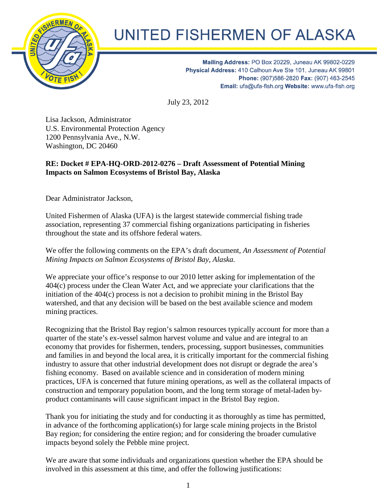

## UNITED FISHERMEN OF ALASKA

Mailing Address: PO Box 20229, Juneau AK 99802-0229<br>Physical Address: 410 Calhoun Ave Ste 101, Juneau AK 99801 Phone: (907) 586-2820 Fax: (907) 463-2545 Email: ufa@ufa-fish.org Website: www.ufa-fish.org

July 23, 2012

Date?????, 2012

Lisa Jackson, Administrator U.S. Environmental Protection Agency 1200 Pennsylvania Ave., N.W. Washington, DC 20460

## **RE: Docket # EPA-HQ-ORD-2012-0276 – Draft Assessment of Potential Mining Impacts on Salmon Ecosystems of Bristol Bay, Alaska**

Dear Administrator Jackson,

United Fishermen of Alaska (UFA) is the largest statewide commercial fishing trade association, representing 37 commercial fishing organizations participating in fisheries throughout the state and its offshore federal waters.

We offer the following comments on the EPA's draft document, *An Assessment of Potential Mining Impacts on Salmon Ecosystems of Bristol Bay, Alaska.*

We appreciate your office's response to our 2010 letter asking for implementation of the 404(c) process under the Clean Water Act, and we appreciate your clarifications that the initiation of the 404(c) process is not a decision to prohibit mining in the Bristol Bay watershed, and that any decision will be based on the best available science and modem mining practices.

Recognizing that the Bristol Bay region's salmon resources typically account for more than a quarter of the state's ex-vessel salmon harvest volume and value and are integral to an economy that provides for fishermen, tenders, processing, support businesses, communities and families in and beyond the local area, it is critically important for the commercial fishing industry to assure that other industrial development does not disrupt or degrade the area's fishing economy. Based on available science and in consideration of modern mining practices, UFA is concerned that future mining operations, as well as the collateral impacts of construction and temporary population boom, and the long term storage of metal-laden byproduct contaminants will cause significant impact in the Bristol Bay region.

Thank you for initiating the study and for conducting it as thoroughly as time has permitted, in advance of the forthcoming application(s) for large scale mining projects in the Bristol Bay region; for considering the entire region; and for considering the broader cumulative impacts beyond solely the Pebble mine project.

We are aware that some individuals and organizations question whether the EPA should be involved in this assessment at this time, and offer the following justifications: